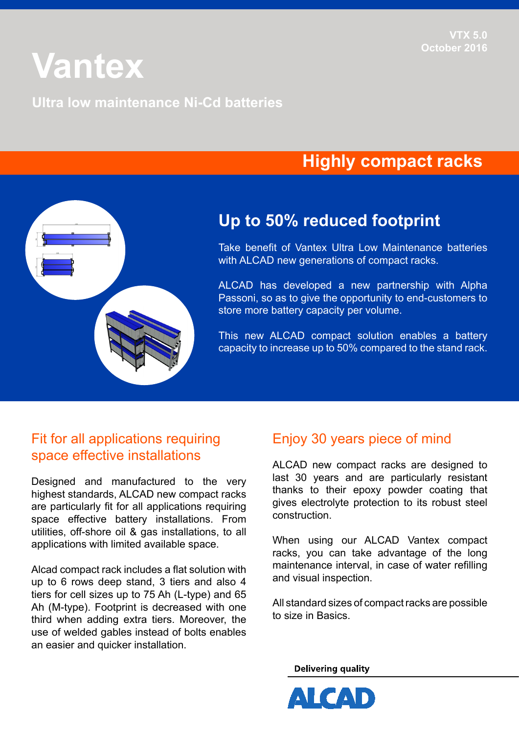# **Vantex**

#### **Ultra low maintenance Ni-Cd batteries**

# **Highly compact racks**



## **Up to 50% reduced footprint**

Take benefit of Vantex Ultra Low Maintenance batteries with ALCAD new generations of compact racks.

ALCAD has developed a new partnership with Alpha Passoni, so as to give the opportunity to end-customers to store more battery capacity per volume.

This new ALCAD compact solution enables a battery capacity to increase up to 50% compared to the stand rack.

### Fit for all applications requiring space effective installations

Designed and manufactured to the very highest standards, ALCAD new compact racks are particularly fit for all applications requiring space effective battery installations. From utilities, off-shore oil & gas installations, to all applications with limited available space.

Alcad compact rack includes a flat solution with up to 6 rows deep stand, 3 tiers and also 4 tiers for cell sizes up to 75 Ah (L-type) and 65 Ah (M-type). Footprint is decreased with one third when adding extra tiers. Moreover, the use of welded gables instead of bolts enables an easier and quicker installation.

## Enjoy 30 years piece of mind

ALCAD new compact racks are designed to last 30 years and are particularly resistant thanks to their epoxy powder coating that gives electrolyte protection to its robust steel construction.

When using our ALCAD Vantex compact racks, you can take advantage of the long maintenance interval, in case of water refilling and visual inspection.

All standard sizes of compact racks are possible to size in Basics.

**Delivering quality**